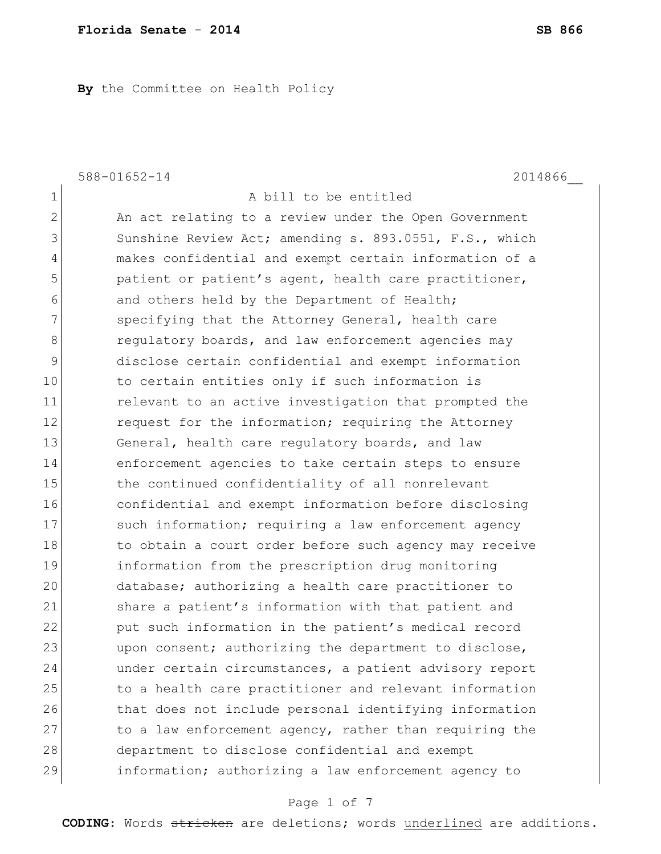**By** the Committee on Health Policy

1 a bill to be entitled

588-01652-14 2014866\_\_

2 An act relating to a review under the Open Government 3 Sunshine Review Act; amending s. 893.0551, F.S., which 4 makes confidential and exempt certain information of a 5 beta patient or patient's agent, health care practitioner, 6 6 and others held by the Department of Health; 7 Specifying that the Attorney General, health care 8 **8 8 regulatory boards, and law enforcement agencies may** 9 disclose certain confidential and exempt information 10 to certain entities only if such information is 11 **11** relevant to an active investigation that prompted the 12 request for the information; requiring the Attorney 13 General, health care regulatory boards, and law 14 enforcement agencies to take certain steps to ensure 15 the continued confidentiality of all nonrelevant 16 confidential and exempt information before disclosing 17 Such information; requiring a law enforcement agency 18 to obtain a court order before such agency may receive 19 information from the prescription drug monitoring 20 database; authorizing a health care practitioner to 21 Share a patient's information with that patient and 22 put such information in the patient's medical record 23 upon consent; authorizing the department to disclose, 24 under certain circumstances, a patient advisory report 25 to a health care practitioner and relevant information 26 that does not include personal identifying information 27 to a law enforcement agency, rather than requiring the 28 department to disclose confidential and exempt 29 information; authorizing a law enforcement agency to

### Page 1 of 7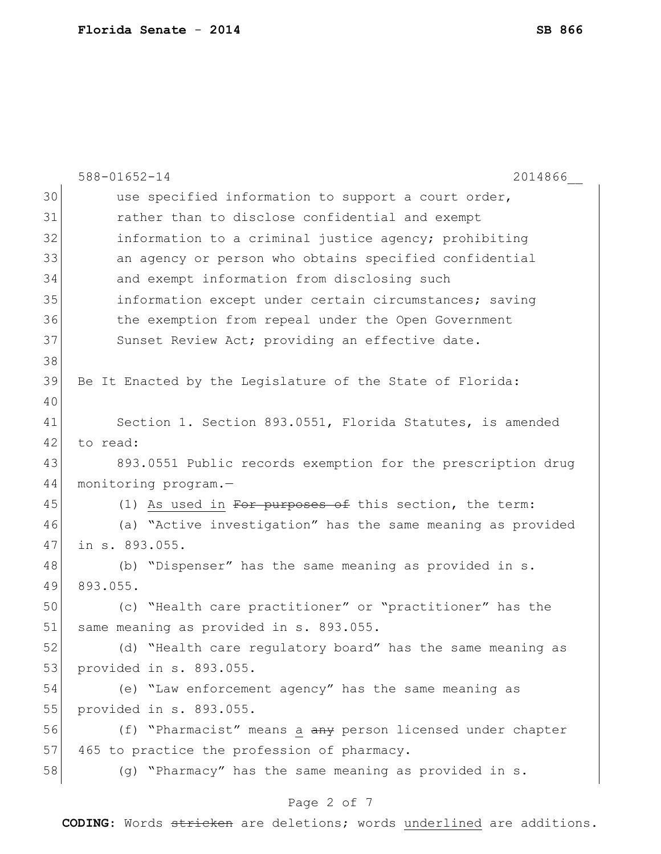|    | $588 - 01652 - 14$<br>2014866                               |
|----|-------------------------------------------------------------|
| 30 | use specified information to support a court order,         |
| 31 | rather than to disclose confidential and exempt             |
| 32 | information to a criminal justice agency; prohibiting       |
| 33 | an agency or person who obtains specified confidential      |
| 34 | and exempt information from disclosing such                 |
| 35 | information except under certain circumstances; saving      |
| 36 | the exemption from repeal under the Open Government         |
| 37 | Sunset Review Act; providing an effective date.             |
| 38 |                                                             |
| 39 | Be It Enacted by the Legislature of the State of Florida:   |
| 40 |                                                             |
| 41 | Section 1. Section 893.0551, Florida Statutes, is amended   |
| 42 | to read:                                                    |
| 43 | 893.0551 Public records exemption for the prescription drug |
| 44 | monitoring program.-                                        |
| 45 | (1) As used in For purposes of this section, the term:      |
| 46 | (a) "Active investigation" has the same meaning as provided |
| 47 | in s. 893.055.                                              |
| 48 | (b) "Dispenser" has the same meaning as provided in s.      |
| 49 | 893.055.                                                    |
| 50 | (c) "Health care practitioner" or "practitioner" has the    |
| 51 | same meaning as provided in s. 893.055.                     |
| 52 | (d) "Health care regulatory board" has the same meaning as  |
| 53 | provided in s. 893.055.                                     |
| 54 | (e) "Law enforcement agency" has the same meaning as        |
| 55 | provided in s. 893.055.                                     |
| 56 | (f) "Pharmacist" means a any person licensed under chapter  |
| 57 | 465 to practice the profession of pharmacy.                 |
| 58 | (g) "Pharmacy" has the same meaning as provided in s.       |
|    | Page 2 of 7                                                 |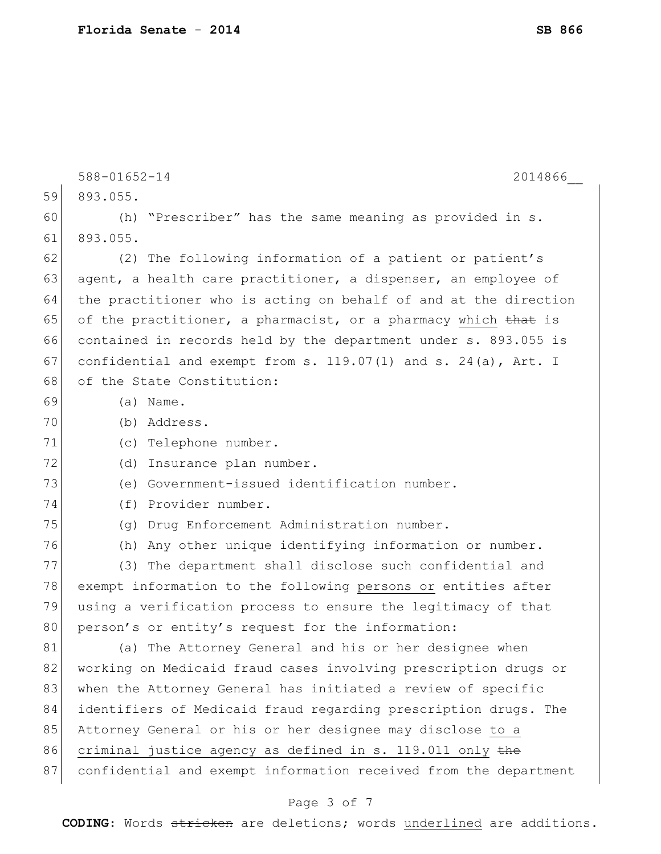|    | 588-01652-14<br>2014866                                             |
|----|---------------------------------------------------------------------|
| 59 | 893.055.                                                            |
| 60 | "Prescriber" has the same meaning as provided in s.<br>(h)          |
| 61 | 893.055.                                                            |
| 62 | (2) The following information of a patient or patient's             |
| 63 | agent, a health care practitioner, a dispenser, an employee of      |
| 64 | the practitioner who is acting on behalf of and at the direction    |
| 65 | of the practitioner, a pharmacist, or a pharmacy which that is      |
| 66 | contained in records held by the department under s. 893.055 is     |
| 67 | confidential and exempt from s. $119.07(1)$ and s. $24(a)$ , Art. I |
| 68 | of the State Constitution:                                          |
| 69 | $(a)$ Name.                                                         |
| 70 | (b) Address.                                                        |
| 71 | (c) Telephone number.                                               |
| 72 | Insurance plan number.<br>(d)                                       |
| 73 | (e) Government-issued identification number.                        |
| 74 | (f) Provider number.                                                |
| 75 | (g) Drug Enforcement Administration number.                         |
| 76 | (h) Any other unique identifying information or number.             |
| 77 | (3) The department shall disclose such confidential and             |
| 78 | exempt information to the following persons or entities after       |
| 79 | using a verification process to ensure the legitimacy of that       |
| 80 | person's or entity's request for the information:                   |
| 81 | (a) The Attorney General and his or her designee when               |
| 82 | working on Medicaid fraud cases involving prescription drugs or     |
| 83 | when the Attorney General has initiated a review of specific        |
| 84 | identifiers of Medicaid fraud regarding prescription drugs. The     |
| 85 | Attorney General or his or her designee may disclose to a           |
| 86 | criminal justice agency as defined in s. 119.011 only the           |
| 87 | confidential and exempt information received from the department    |
|    |                                                                     |

# Page 3 of 7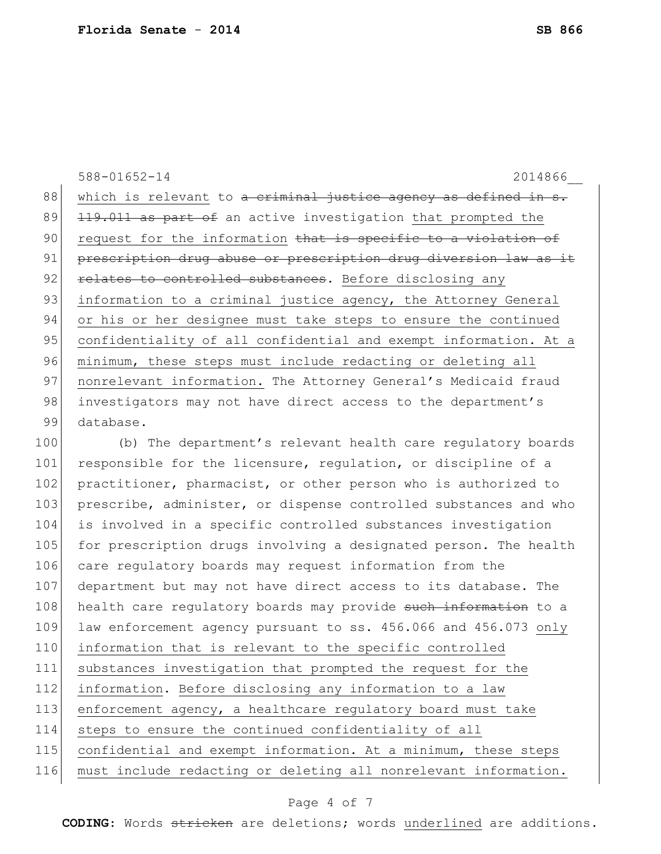588-01652-14 2014866\_\_ 88 which is relevant to <del>a criminal justice agency as defined in s.</del> 89 119.011 as part of an active investigation that prompted the 90 request for the information that is specific to a violation of 91 prescription drug abuse or prescription drug diversion law as it 92 relates to controlled substances. Before disclosing any 93 information to a criminal justice agency, the Attorney General 94 or his or her designee must take steps to ensure the continued 95 confidentiality of all confidential and exempt information. At a 96 minimum, these steps must include redacting or deleting all 97 | nonrelevant information. The Attorney General's Medicaid fraud 98 investigators may not have direct access to the department's 99 database. 100 (b) The department's relevant health care regulatory boards 101 responsible for the licensure, requlation, or discipline of a 102 practitioner, pharmacist, or other person who is authorized to

103 prescribe, administer, or dispense controlled substances and who is involved in a specific controlled substances investigation 105 for prescription drugs involving a designated person. The health 106 care regulatory boards may request information from the department but may not have direct access to its database. The 108 health care regulatory boards may provide such information to a law enforcement agency pursuant to ss. 456.066 and 456.073 only information that is relevant to the specific controlled substances investigation that prompted the request for the information. Before disclosing any information to a law enforcement agency, a healthcare regulatory board must take steps to ensure the continued confidentiality of all 115 confidential and exempt information. At a minimum, these steps must include redacting or deleting all nonrelevant information.

### Page 4 of 7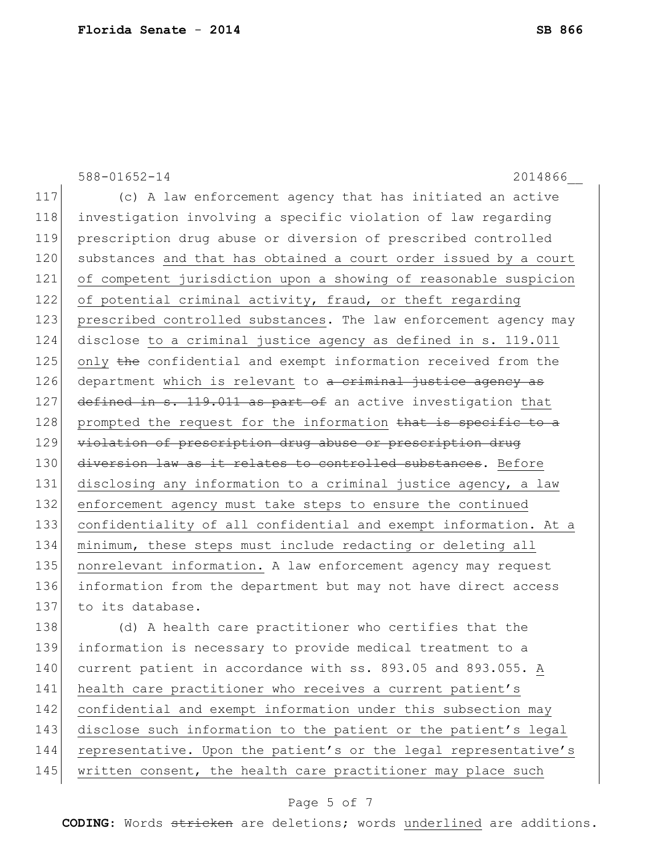588-01652-14 2014866\_\_ 117 (c) A law enforcement agency that has initiated an active 118 investigation involving a specific violation of law regarding 119 prescription drug abuse or diversion of prescribed controlled 120 substances and that has obtained a court order issued by a court 121 of competent jurisdiction upon a showing of reasonable suspicion 122 of potential criminal activity, fraud, or theft regarding 123 prescribed controlled substances. The law enforcement agency may 124 disclose to a criminal justice agency as defined in s. 119.011 125 only the confidential and exempt information received from the 126 department which is relevant to a criminal justice agency as 127 defined in s. 119.011 as part of an active investigation that  $128$  prompted the request for the information that is specific to a 129 violation of prescription drug abuse or prescription drug 130 diversion law as it relates to controlled substances. Before 131 disclosing any information to a criminal justice agency, a law 132 enforcement agency must take steps to ensure the continued 133 confidentiality of all confidential and exempt information. At a 134 minimum, these steps must include redacting or deleting all 135 nonrelevant information. A law enforcement agency may request 136 information from the department but may not have direct access 137 to its database. 138 (d) A health care practitioner who certifies that the 139 information is necessary to provide medical treatment to a 140 current patient in accordance with ss. 893.05 and 893.055. A 141 health care practitioner who receives a current patient's 142 confidential and exempt information under this subsection may 143 disclose such information to the patient or the patient's legal 144 representative. Upon the patient's or the legal representative's

145 written consent, the health care practitioner may place such

### Page 5 of 7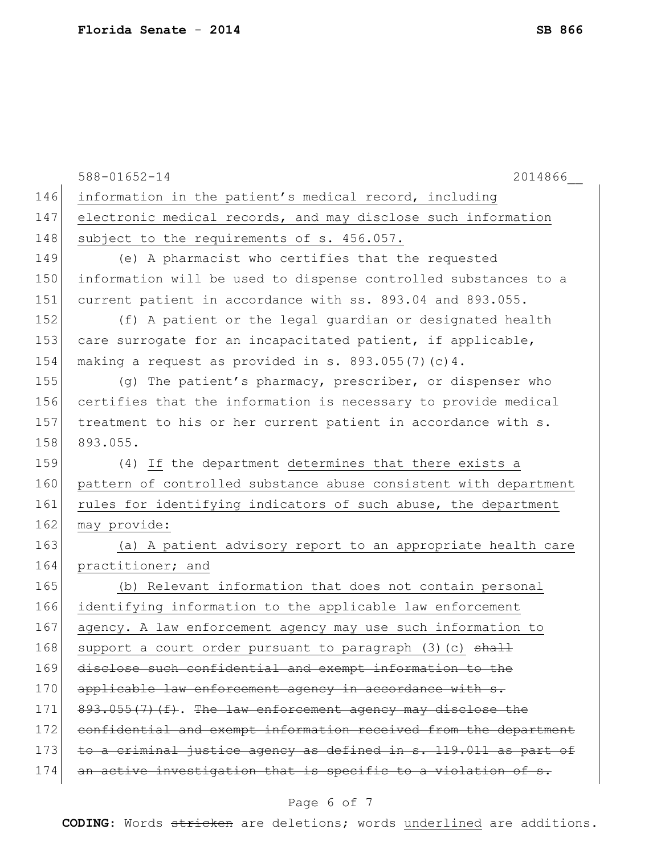|     | 588-01652-14<br>2014866                                          |
|-----|------------------------------------------------------------------|
| 146 | information in the patient's medical record, including           |
| 147 | electronic medical records, and may disclose such information    |
| 148 | subject to the requirements of s. 456.057.                       |
| 149 | (e) A pharmacist who certifies that the requested                |
| 150 | information will be used to dispense controlled substances to a  |
| 151 | current patient in accordance with ss. 893.04 and 893.055.       |
| 152 | (f) A patient or the legal guardian or designated health         |
| 153 | care surrogate for an incapacitated patient, if applicable,      |
| 154 | making a request as provided in s. $893.055(7)(c)4$ .            |
| 155 | (g) The patient's pharmacy, prescriber, or dispenser who         |
| 156 | certifies that the information is necessary to provide medical   |
| 157 | treatment to his or her current patient in accordance with s.    |
| 158 | 893.055.                                                         |
| 159 | (4) If the department determines that there exists a             |
| 160 | pattern of controlled substance abuse consistent with department |
| 161 | rules for identifying indicators of such abuse, the department   |
| 162 | may provide:                                                     |
| 163 | (a) A patient advisory report to an appropriate health care      |
| 164 | practitioner; and                                                |
| 165 | (b) Relevant information that does not contain personal          |
| 166 | identifying information to the applicable law enforcement        |
| 167 | agency. A law enforcement agency may use such information to     |
| 168 | support a court order pursuant to paragraph (3) (c) shall        |
| 169 | disclose such confidential and exempt information to the         |
| 170 | applicable law enforcement agency in accordance with s.          |
| 171 | 893.055(7)(f). The law enforcement agency may disclose the       |
| 172 | confidential and exempt information received from the department |
| 173 | to a criminal justice agency as defined in s. 119.011 as part of |
| 174 | an active investigation that is specific to a violation of s.    |
|     |                                                                  |

# Page 6 of 7